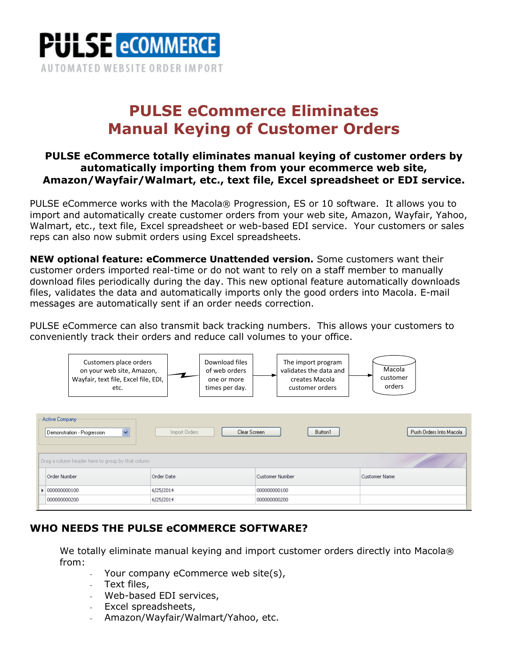

# **PULSE eCommerce Eliminates Manual Keying of Customer Orders**

### **PULSE eCommerce totally eliminates manual keying of customer orders by automatically importing them from your ecommerce web site, Amazon/Wayfair/Walmart, etc., text file, Excel spreadsheet or EDI service.**

PULSE eCommerce works with the Macola® Progression, ES or 10 software. It allows you to import and automatically create customer orders from your web site, Amazon, Wayfair, Yahoo, Walmart, etc., text file, Excel spreadsheet or web-based EDI service. Your customers or sales reps can also now submit orders using Excel spreadsheets.

**NEW optional feature: eCommerce Unattended version.** Some customers want their customer orders imported real-time or do not want to rely on a staff member to manually download files periodically during the day. This new optional feature automatically downloads files, validates the data and automatically imports only the good orders into Macola. E-mail messages are automatically sent if an order needs correction.

PULSE eCommerce can also transmit back tracking numbers. This allows your customers to conveniently track their orders and reduce call volumes to your office.



## **WHO NEEDS THE PULSE eCOMMERCE SOFTWARE?**

We totally eliminate manual keying and import customer orders directly into Macola® from:

- Your company eCommerce web site(s),
- Text files,
- Web-based EDI services,
- Excel spreadsheets,
- Amazon/Wayfair/Walmart/Yahoo, etc.